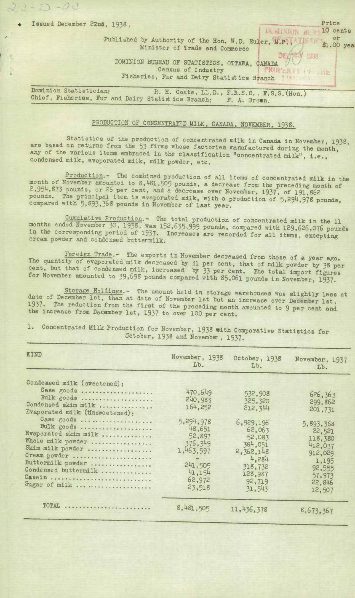Issued December 22nd, 1938. Price<br>
14 10 cents

 $23 - 0 - 03$ 

Published by Authority of the Hon. W.D. Euler, M.P. Minister of Trade and Commerce \$1.00 yea:

DOMINION BUREAU OF STATISTICS, OTTAWA, CANADA / Census of Industry Fisheries, Fur and Dairy Statistics Branch

1928

 $7.1111$ 

Dominion Statistician: R. H. Coats, LL.D., F.R.S.C., F.S.S. (Hon.) Chief, Fisheries, Pur and Dairy Statistics Branch: **P. A.** Brown.

## PRODUCTION OF CONCENTRATED MILK, CANADA, NOVEMBER, 1938.

Statistics of the production of concentrated milk in Canada in November, 1938, are based on returns from the 53 firms whose factories manufactured during the month, any of the various items embraced in the classification "ooncentrated **milk", i.e.,** condensed milk, evaporated milk, milk powder, etc.

Production.- The combined production of all items of concentrated milk in the<br>month of November amounted to  $8,481,505$  pounds, a decrease from the preceding month of<br>2,954,873 pounds, or 26 per cent, and a decrease over pounds. The principal item is evaporated milk, with a production of **5,2914,978** pounds, compared. with 5,893,368 pounds in November of last year.

Cumulative Production.- The total production of concentrated milk in the 11 months ended November 30, 1938, was 152,635,999 pounds, compared with 129,626,076 pounds in the corresponding period of 1937. Increases are recor cream powder and condensed buttermilk.

Foreign Trade.- The exports in November decreased from those of a year ago. The quantity of evaporated milk decreased by 31 per cent, that of milk powder by 38 per cent, but that of condensed milk, increased by 33 per cent. The total import figures for November amounted to 39,698 pounds compared w

Storage Holdings.- The amount held in storage warehouses was slightly less at date of December 1st, than at date of November 1st but an increase over December 1st, 1937. The reduction from the first of the preceding month amounted to 9 per cent and the increase from December 1st, 1937 to over 100 per cent.

| KIND                                                                                                                                                                                                                                                                                                  | November, 1938<br>Lb.                                                                                                            | October, 1938<br>Lb.                                                                                                                      | November, 1937<br>Lb.                                                                                                                  |
|-------------------------------------------------------------------------------------------------------------------------------------------------------------------------------------------------------------------------------------------------------------------------------------------------------|----------------------------------------------------------------------------------------------------------------------------------|-------------------------------------------------------------------------------------------------------------------------------------------|----------------------------------------------------------------------------------------------------------------------------------------|
| Condensed milk (sweetened):<br>Case goods<br>Bulk goods<br>Condensed skim milk<br>Evaporated milk (Unsweetened):<br>Case goods<br>Bulk goods<br>Evaporated skim milk<br>Whole milk powder<br>Skim milk powder<br>Cream powder<br>Buttermilk powder<br>Condensed buttermilk<br>Casein<br>Sugar of milk | 470.649<br>240,983<br>164,252<br>5,294.978<br>48.651<br>52,897<br>376, 349<br>1,463,597<br>241,505<br>41,154<br>62,972<br>23,518 | 532,908<br>325,320<br>212.344<br>6,929,196<br>62,063<br>52,083<br>384,051<br>2,362,148<br>4,284<br>318,732<br>128,987<br>92,719<br>31,543 | 626.363<br>299.862<br>201,731<br>5,893,368<br>22,521<br>118,380<br>412,037<br>912,029<br>1,195<br>92.555<br>57,973<br>22,846<br>12,507 |
| <b>TOTAL</b>                                                                                                                                                                                                                                                                                          | 8,481,505                                                                                                                        | 11, 436, 378                                                                                                                              | 8,673,367                                                                                                                              |

Concentrated Milk Production for November, 1938 with Comparative Statistics for<br>Ctober, 1938 and November, 1937.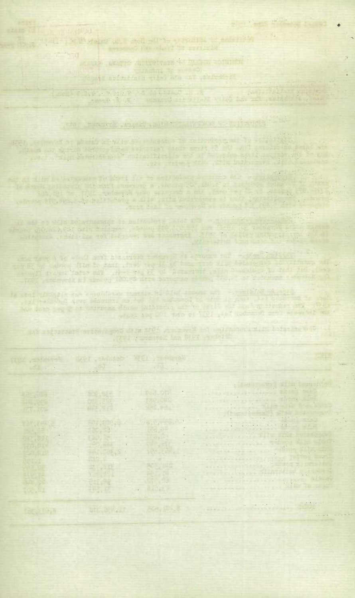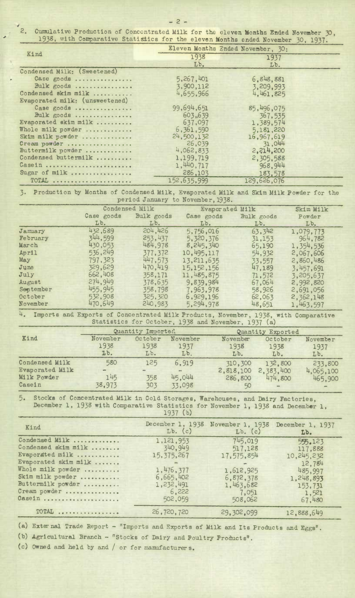$2<sub>1</sub>$ Cumulative Production of Concentrated Milk for the eleven Months Ended November 30, 1938, with Comparative Statistics for the eleven Months ended November 30, 1937.

|                                |             | Eleven Months Ended November, 30: |  |
|--------------------------------|-------------|-----------------------------------|--|
| Kind                           | 1938        | 1937                              |  |
|                                | Lb.         | Lb.                               |  |
| Condensed Milk: (Sweetened)    |             |                                   |  |
| Case goods                     | 5,267,401   | 6,848,881                         |  |
| Bulk goods                     | 3,900,112   | 3,209,993                         |  |
| Condensed skim milk            | 4,655,966   | 4,461,825                         |  |
| Evaporated milk: (unsweetened) |             |                                   |  |
| Case goods                     | 99,694,651  | 85,496,075                        |  |
| Bulk goods                     | 603,639     | 367,535                           |  |
| Evaporated skim milk           | 637,097     | 1,389,574                         |  |
| Whole milk powder              | 6,361,590   | 5,181,220                         |  |
| Skim milk powder               | 24,500,132  | 16,967,619                        |  |
| Cream powder                   | 26,039      | 31,044                            |  |
| Buttermilk powder              | 4,062,833   | 2, 214, 200                       |  |
| Condensed buttermilk           | 1,199,719   | 2,305,588                         |  |
| Casein                         | 1,440,717   | 968.944                           |  |
| Sugar of milk                  | 286,103     | 183.578                           |  |
| TOTAL                          | 152,635,999 | 129,626,076                       |  |

Production by Months of Condensed Milk, Evaporated Milk and Skim Milk Powder for the period January to November, 1938.

|           | Condensed Milk |            | Evaporated Milk | Skim Milk  |             |
|-----------|----------------|------------|-----------------|------------|-------------|
|           | Case goods     | Bulk goods | Case goods      | Bulk goods | Powder      |
|           | Lb.            | Lb.        | Lb.             | Lb.        | Lb.         |
| Jamary    | 432.689        | 204,426    | 5,756,016       | 63,342     | 1,079,773   |
| February  | 344.599        | 253,437    | 5.320.376       | 31,153     | 964,782     |
| March     | 430,053        | 484,978    | 8,245,340       | 65,190     | 1, 354, 536 |
| April     | 536,249        | 377,372    | 10, 495, 117    | 54,932     | 2,067,606   |
| May       | 797, 323       | 447,573    | 13, 211, 635    | 33,557     | 2,860,486   |
| June      | 329,629        | 470,419    | 15, 152, 156    | 47,189     | 3, 457, 691 |
| July      | 662,408        | 358,171    | 11,485,875      | 71,572     | 3,205.637   |
| August    | 274,949        | 378,635    | 9,839,984       | 67.064     | 2,992,820   |
| September | 455,945        | 358,798    | 7.963.978       | 58,926     | 2,691,056   |
| October   | 532,908        | 325,320    | 6,929,196       | 62,063     | 2,362,148   |
| November  | 470,649        | 240,983    | 5,294,978       | 48,651     | 1,463,597   |

14• Imports and Exports of Concentrated Milk Products, November, 1938, with Comparative Statistics for October, 1938 and November, 1937 (a)

|                                                            | Quantity Imported       |                           |                                   | Quantity Exported                     |                                 |                                 |
|------------------------------------------------------------|-------------------------|---------------------------|-----------------------------------|---------------------------------------|---------------------------------|---------------------------------|
| Kind                                                       | November<br>1938<br>Lb. | October<br>1938<br>$Lb$ . | November<br>1937<br>Lb.           | November<br>1938<br>Lb.               | October<br>1938<br>Lb.          | November<br>1937<br>Lb.         |
| Condensed Milk<br>Evaporated Milk<br>Milk Powder<br>Casein | 580<br>145<br>38,973    | 125<br>358<br>303         | 6.919<br>and-<br>45.044<br>33,098 | 310,300<br>2,818,100<br>286,800<br>50 | 132,800<br>2,383,400<br>474,800 | 233,800<br>4,065,100<br>465,900 |

5. Stocks of Concentrated Milk in Cold Storages, Warehouses, and Dairy Factories, December 1, 1938 with Comparative Statistics for November 1, 1938 and December 1, 1937 (b)

| Kind                 | December 1, 1938<br>$Lb.$ (c) | November 1, 1938<br>$Lb.$ (c) | December 1, 1937<br>Lb. |
|----------------------|-------------------------------|-------------------------------|-------------------------|
| Condensed Milk       | 1,121,953                     | 745.019                       | 555.123                 |
| Condensed skim milk  | 340.949                       | 517,128                       | 117.888                 |
| Evaporated milk      | 15, 375, 267                  | 17,575,854                    | 10, 245, 232            |
| Evaporated skim milk |                               |                               | 12.784                  |
| Whole milk powder    | 1,476,377                     | 1,612,925                     | 485,997                 |
| Skim milk powder     | 6,665,402                     | 6,872,378                     | 1,248,893               |
| Buttermilk powder    | 1,232,491                     | 1,463,682                     | 153,731                 |
| Cream powder         | 6,222                         | 7,051                         | 1,521                   |
| Casein               | 502,059                       | 508,062                       | 67,480                  |
| TOTAL                | 26,720,720                    | 29,302.099                    | 12,888,649              |

(a) External Trade Report - "Imports and Exports of Milk and Its Products and Eggs".

(b) Agricultural Branch - "Stocks of Dairy and Poultry Products".

(c) Owned and held by and / or for manufacturers.